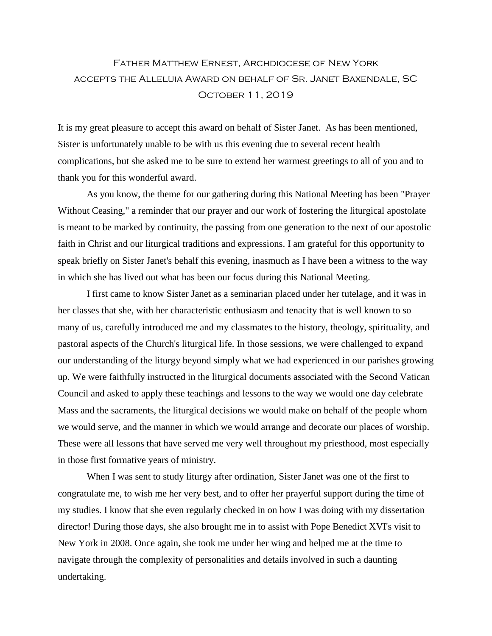## Father Matthew Ernest, Archdiocese of New York accepts the Alleluia Award on behalf of Sr. Janet Baxendale, SC October 11, 2019

It is my great pleasure to accept this award on behalf of Sister Janet. As has been mentioned, Sister is unfortunately unable to be with us this evening due to several recent health complications, but she asked me to be sure to extend her warmest greetings to all of you and to thank you for this wonderful award.

As you know, the theme for our gathering during this National Meeting has been "Prayer Without Ceasing," a reminder that our prayer and our work of fostering the liturgical apostolate is meant to be marked by continuity, the passing from one generation to the next of our apostolic faith in Christ and our liturgical traditions and expressions. I am grateful for this opportunity to speak briefly on Sister Janet's behalf this evening, inasmuch as I have been a witness to the way in which she has lived out what has been our focus during this National Meeting.

I first came to know Sister Janet as a seminarian placed under her tutelage, and it was in her classes that she, with her characteristic enthusiasm and tenacity that is well known to so many of us, carefully introduced me and my classmates to the history, theology, spirituality, and pastoral aspects of the Church's liturgical life. In those sessions, we were challenged to expand our understanding of the liturgy beyond simply what we had experienced in our parishes growing up. We were faithfully instructed in the liturgical documents associated with the Second Vatican Council and asked to apply these teachings and lessons to the way we would one day celebrate Mass and the sacraments, the liturgical decisions we would make on behalf of the people whom we would serve, and the manner in which we would arrange and decorate our places of worship. These were all lessons that have served me very well throughout my priesthood, most especially in those first formative years of ministry.

When I was sent to study liturgy after ordination, Sister Janet was one of the first to congratulate me, to wish me her very best, and to offer her prayerful support during the time of my studies. I know that she even regularly checked in on how I was doing with my dissertation director! During those days, she also brought me in to assist with Pope Benedict XVI's visit to New York in 2008. Once again, she took me under her wing and helped me at the time to navigate through the complexity of personalities and details involved in such a daunting undertaking.